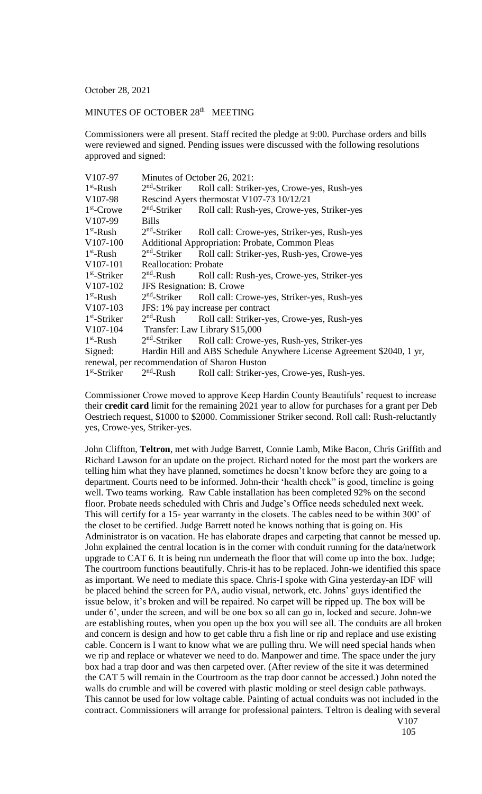October 28, 2021

## MINUTES OF OCTOBER 28<sup>th</sup> MEETING

Commissioners were all present. Staff recited the pledge at 9:00. Purchase orders and bills were reviewed and signed. Pending issues were discussed with the following resolutions approved and signed:

| V107-97                                      | Minutes of October 26, 2021:                           |                                                                       |  |
|----------------------------------------------|--------------------------------------------------------|-----------------------------------------------------------------------|--|
| $1st$ -Rush                                  | $2nd$ -Striker                                         | Roll call: Striker-yes, Crowe-yes, Rush-yes                           |  |
| V107-98                                      | Rescind Ayers thermostat V107-73 10/12/21              |                                                                       |  |
| $1st$ -Crowe                                 | $2nd$ -Striker                                         | Roll call: Rush-yes, Crowe-yes, Striker-yes                           |  |
| V <sub>107-99</sub>                          | <b>Bills</b>                                           |                                                                       |  |
| $1st$ -Rush                                  | $2nd$ -Striker                                         | Roll call: Crowe-yes, Striker-yes, Rush-yes                           |  |
| V <sub>107</sub> -100                        | <b>Additional Appropriation: Probate, Common Pleas</b> |                                                                       |  |
| $1st$ -Rush                                  | $2nd$ -Striker                                         | Roll call: Striker-yes, Rush-yes, Crowe-yes                           |  |
| V <sub>107</sub> -101                        | <b>Reallocation: Probate</b>                           |                                                                       |  |
| $1st$ -Striker                               | $2nd$ -Rush                                            | Roll call: Rush-yes, Crowe-yes, Striker-yes                           |  |
| V107-102                                     | <b>JFS</b> Resignation: B. Crowe                       |                                                                       |  |
| $1st$ -Rush                                  | $2nd$ -Striker                                         | Roll call: Crowe-yes, Striker-yes, Rush-yes                           |  |
| V <sub>107</sub> -103                        | JFS: 1% pay increase per contract                      |                                                                       |  |
| $1st$ -Striker                               | $2nd$ -Rush                                            | Roll call: Striker-yes, Crowe-yes, Rush-yes                           |  |
| V107-104                                     | Transfer: Law Library \$15,000                         |                                                                       |  |
| $1st$ -Rush                                  | $2nd$ -Striker                                         | Roll call: Crowe-yes, Rush-yes, Striker-yes                           |  |
| Signed:                                      |                                                        | Hardin Hill and ABS Schedule Anywhere License Agreement \$2040, 1 yr, |  |
| renewal, per recommendation of Sharon Huston |                                                        |                                                                       |  |
| $1st$ -Striker                               | $2nd$ -Rush                                            | Roll call: Striker-yes, Crowe-yes, Rush-yes.                          |  |

Commissioner Crowe moved to approve Keep Hardin County Beautifuls' request to increase their **credit card** limit for the remaining 2021 year to allow for purchases for a grant per Deb Oestriech request, \$1000 to \$2000. Commissioner Striker second. Roll call: Rush-reluctantly yes, Crowe-yes, Striker-yes.

John Cliffton, **Teltron**, met with Judge Barrett, Connie Lamb, Mike Bacon, Chris Griffith and Richard Lawson for an update on the project. Richard noted for the most part the workers are telling him what they have planned, sometimes he doesn't know before they are going to a department. Courts need to be informed. John-their 'health check" is good, timeline is going well. Two teams working. Raw Cable installation has been completed 92% on the second floor. Probate needs scheduled with Chris and Judge's Office needs scheduled next week. This will certify for a 15- year warranty in the closets. The cables need to be within 300' of the closet to be certified. Judge Barrett noted he knows nothing that is going on. His Administrator is on vacation. He has elaborate drapes and carpeting that cannot be messed up. John explained the central location is in the corner with conduit running for the data/network upgrade to CAT 6. It is being run underneath the floor that will come up into the box. Judge; The courtroom functions beautifully. Chris-it has to be replaced. John-we identified this space as important. We need to mediate this space. Chris-I spoke with Gina yesterday-an IDF will be placed behind the screen for PA, audio visual, network, etc. Johns' guys identified the issue below, it's broken and will be repaired. No carpet will be ripped up. The box will be under 6', under the screen, and will be one box so all can go in, locked and secure. John-we are establishing routes, when you open up the box you will see all. The conduits are all broken and concern is design and how to get cable thru a fish line or rip and replace and use existing cable. Concern is I want to know what we are pulling thru. We will need special hands when we rip and replace or whatever we need to do. Manpower and time. The space under the jury box had a trap door and was then carpeted over. (After review of the site it was determined the CAT 5 will remain in the Courtroom as the trap door cannot be accessed.) John noted the walls do crumble and will be covered with plastic molding or steel design cable pathways. This cannot be used for low voltage cable. Painting of actual conduits was not included in the contract. Commissioners will arrange for professional painters. Teltron is dealing with several V107

105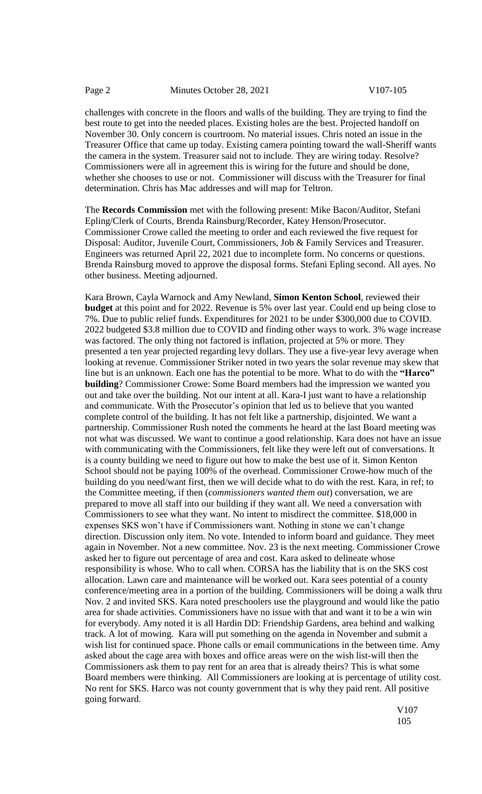challenges with concrete in the floors and walls of the building. They are trying to find the best route to get into the needed places. Existing holes are the best. Projected handoff on November 30. Only concern is courtroom. No material issues. Chris noted an issue in the Treasurer Office that came up today. Existing camera pointing toward the wall-Sheriff wants the camera in the system. Treasurer said not to include. They are wiring today. Resolve? Commissioners were all in agreement this is wiring for the future and should be done, whether she chooses to use or not. Commissioner will discuss with the Treasurer for final determination. Chris has Mac addresses and will map for Teltron.

The **Records Commission** met with the following present: Mike Bacon/Auditor, Stefani Epling/Clerk of Courts, Brenda Rainsburg/Recorder, Katey Henson/Prosecutor. Commissioner Crowe called the meeting to order and each reviewed the five request for Disposal: Auditor, Juvenile Court, Commissioners, Job & Family Services and Treasurer. Engineers was returned April 22, 2021 due to incomplete form. No concerns or questions. Brenda Rainsburg moved to approve the disposal forms. Stefani Epling second. All ayes. No other business. Meeting adjourned.

Kara Brown, Cayla Warnock and Amy Newland, **Simon Kenton School**, reviewed their **budget** at this point and for 2022. Revenue is 5% over last year. Could end up being close to 7%. Due to public relief funds. Expenditures for 2021 to be under \$300,000 due to COVID. 2022 budgeted \$3.8 million due to COVID and finding other ways to work. 3% wage increase was factored. The only thing not factored is inflation, projected at 5% or more. They presented a ten year projected regarding levy dollars. They use a five-year levy average when looking at revenue. Commissioner Striker noted in two years the solar revenue may skew that line but is an unknown. Each one has the potential to be more. What to do with the **"Harco" building**? Commissioner Crowe: Some Board members had the impression we wanted you out and take over the building. Not our intent at all. Kara-I just want to have a relationship and communicate. With the Prosecutor's opinion that led us to believe that you wanted complete control of the building. It has not felt like a partnership, disjointed. We want a partnership. Commissioner Rush noted the comments he heard at the last Board meeting was not what was discussed. We want to continue a good relationship. Kara does not have an issue with communicating with the Commissioners, felt like they were left out of conversations. It is a county building we need to figure out how to make the best use of it. Simon Kenton School should not be paying 100% of the overhead. Commissioner Crowe-how much of the building do you need/want first, then we will decide what to do with the rest. Kara, in ref; to the Committee meeting, if then (*commissioners wanted them out*) conversation, we are prepared to move all staff into our building if they want all. We need a conversation with Commissioners to see what they want. No intent to misdirect the committee. \$18,000 in expenses SKS won't have if Commissioners want. Nothing in stone we can't change direction. Discussion only item. No vote. Intended to inform board and guidance. They meet again in November. Not a new committee. Nov. 23 is the next meeting. Commissioner Crowe asked her to figure out percentage of area and cost. Kara asked to delineate whose responsibility is whose. Who to call when. CORSA has the liability that is on the SKS cost allocation. Lawn care and maintenance will be worked out. Kara sees potential of a county conference/meeting area in a portion of the building. Commissioners will be doing a walk thru Nov. 2 and invited SKS. Kara noted preschoolers use the playground and would like the patio area for shade activities. Commissioners have no issue with that and want it to be a win win for everybody. Amy noted it is all Hardin DD: Friendship Gardens, area behind and walking track. A lot of mowing. Kara will put something on the agenda in November and submit a wish list for continued space. Phone calls or email communications in the between time. Amy asked about the cage area with boxes and office areas were on the wish list-will then the Commissioners ask them to pay rent for an area that is already theirs? This is what some Board members were thinking. All Commissioners are looking at is percentage of utility cost. No rent for SKS. Harco was not county government that is why they paid rent. All positive going forward.